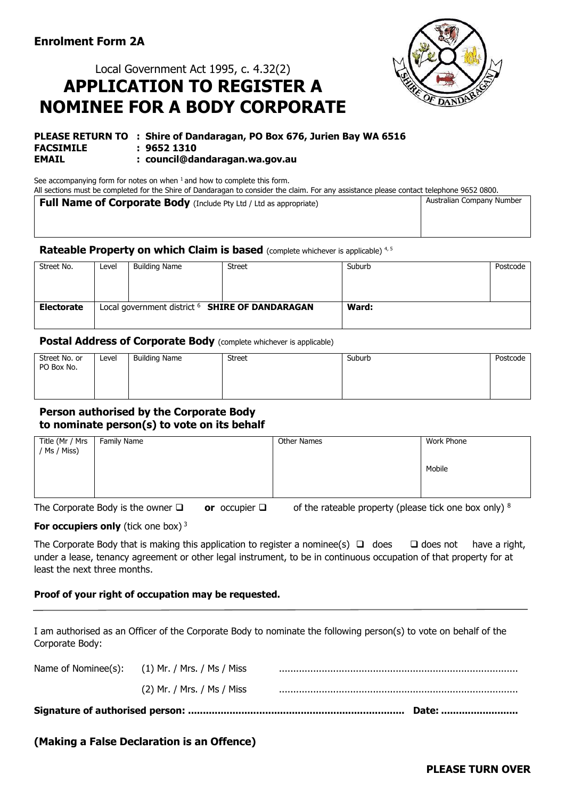# Local Government Act 1995, c. 4.32(2) **APPLICATION TO REGISTER A NOMINEE FOR A BODY CORPORATE**



#### **PLEASE RETURN TO : Shire of Dandaragan, PO Box 676, Jurien Bay WA 6516 FACSIMILE : 9652 1310 EMAIL : council@dandaragan.wa.gov.au**

See accompanying form for notes on when  $1$  and how to complete this form.

All sections must be completed for the Shire of Dandaragan to consider the claim. For any assistance please contact telephone 9652 0800. **Full Name of Corporate Body** (Include Pty Ltd / Ltd as appropriate) Australian Company Number

## **Rateable Property on which Claim is based** (complete whichever is applicable) 4,5

| Street No.        | Level                                                      | <b>Building Name</b> | <b>Street</b> | Suburb | Postcode |
|-------------------|------------------------------------------------------------|----------------------|---------------|--------|----------|
|                   |                                                            |                      |               |        |          |
|                   |                                                            |                      |               |        |          |
|                   |                                                            |                      |               |        |          |
| <b>Electorate</b> | Local government district <sup>6</sup> SHIRE OF DANDARAGAN |                      |               | Ward:  |          |
|                   |                                                            |                      |               |        |          |

## **Postal Address of Corporate Body** (complete whichever is applicable)

| Street No. or<br>PO Box No. | Level | <b>Building Name</b> | Street | Suburb | Postcode |
|-----------------------------|-------|----------------------|--------|--------|----------|
|                             |       |                      |        |        |          |
|                             |       |                      |        |        |          |

## **Person authorised by the Corporate Body to nominate person(s) to vote on its behalf**

| Title (Mr / Mrs   Family Name / Ms / Miss) | Other Names | Work Phone |
|--------------------------------------------|-------------|------------|
|                                            |             | Mobile     |
|                                            |             |            |

The Corporate Body is the owner ❑ **or** occupier ❑ of the rateable property (please tick one box only) <sup>8</sup>

## **For occupiers only** (tick one box)<sup>3</sup>

The Corporate Body that is making this application to register a nominee(s) □ does □ does not have a right, under a lease, tenancy agreement or other legal instrument, to be in continuous occupation of that property for at least the next three months.

## **Proof of your right of occupation may be requested.**

I am authorised as an Officer of the Corporate Body to nominate the following person(s) to vote on behalf of the Corporate Body:

| (2) Mr. / Mrs. / Ms / Miss                     |  |
|------------------------------------------------|--|
| Name of Nominee(s): (1) Mr. / Mrs. / Ms / Miss |  |

## **(Making a False Declaration is an Offence)**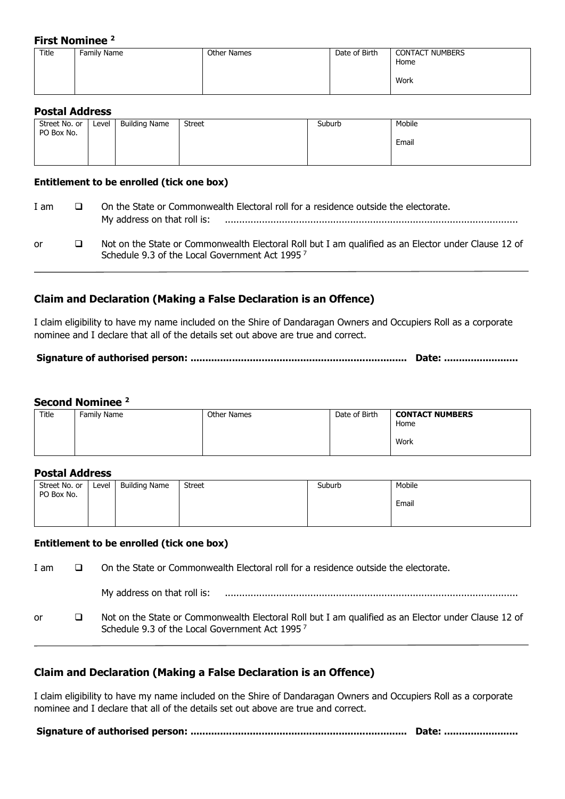## **First Nominee <sup>2</sup>**

| - --- - - - - - - - - - - - - |             |             |               |                                |  |
|-------------------------------|-------------|-------------|---------------|--------------------------------|--|
| Title                         | Family Name | Other Names | Date of Birth | <b>CONTACT NUMBERS</b><br>Home |  |
|                               |             |             |               | Work                           |  |

## **Postal Address**

| Street No. or<br>PO Box No. | Level | <b>Building Name</b> | Street | Suburb | Mobile |
|-----------------------------|-------|----------------------|--------|--------|--------|
|                             |       |                      |        |        | Email  |
|                             |       |                      |        |        |        |

## **Entitlement to be enrolled (tick one box)**

| I am | On the State or Commonwealth Electoral roll for a residence outside the electorate.<br>My address on that roll is:                                                |
|------|-------------------------------------------------------------------------------------------------------------------------------------------------------------------|
| or   | Not on the State or Commonwealth Electoral Roll but I am qualified as an Elector under Clause 12 of<br>Schedule 9.3 of the Local Government Act 1995 <sup>7</sup> |

## **Claim and Declaration (Making a False Declaration is an Offence)**

I claim eligibility to have my name included on the Shire of Dandaragan Owners and Occupiers Roll as a corporate nominee and I declare that all of the details set out above are true and correct.

## **Signature of authorised person: ......................................................................... Date: .........................**

## **Second Nominee <sup>2</sup>**

| Title | Family Name | Other Names | Date of Birth | <b>CONTACT NUMBERS</b><br>Home |
|-------|-------------|-------------|---------------|--------------------------------|
|       |             |             |               | Work                           |

## **Postal Address**

| Street No. or<br>PO Box No. | Level | <b>Building Name</b> | <b>Street</b> | Suburb | Mobile |
|-----------------------------|-------|----------------------|---------------|--------|--------|
|                             |       |                      |               |        | Email  |
|                             |       |                      |               |        |        |

## **Entitlement to be enrolled (tick one box)**

I am ❑ On the State or Commonwealth Electoral roll for a residence outside the electorate. My address on that roll is: ....................................................................................................... or ❑ Not on the State or Commonwealth Electoral Roll but I am qualified as an Elector under Clause 12 of Schedule 9.3 of the Local Government Act 1995 <sup>7</sup>

## **Claim and Declaration (Making a False Declaration is an Offence)**

I claim eligibility to have my name included on the Shire of Dandaragan Owners and Occupiers Roll as a corporate nominee and I declare that all of the details set out above are true and correct.

**Signature of authorised person: ......................................................................... Date: .........................**